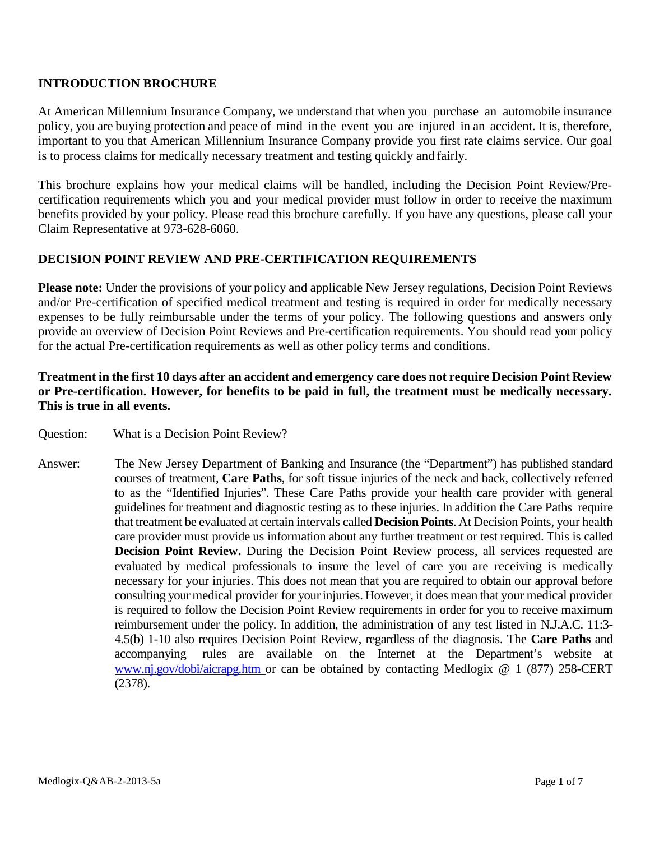## **INTRODUCTION BROCHURE**

At American Millennium Insurance Company, we understand that when you purchase an automobile insurance policy, you are buying protection and peace of mind in the event you are injured in an accident. It is, therefore, important to you that American Millennium Insurance Company provide you first rate claims service. Our goal is to process claims for medically necessary treatment and testing quickly and fairly.

This brochure explains how your medical claims will be handled, including the Decision Point Review/Precertification requirements which you and your medical provider must follow in order to receive the maximum benefits provided by your policy. Please read this brochure carefully. If you have any questions, please call your Claim Representative at 973-628-6060.

## **DECISION POINT REVIEW AND PRE-CERTIFICATION REQUIREMENTS**

**Please note:** Under the provisions of your policy and applicable New Jersey regulations, Decision Point Reviews and/or Pre-certification of specified medical treatment and testing is required in order for medically necessary expenses to be fully reimbursable under the terms of your policy. The following questions and answers only provide an overview of Decision Point Reviews and Pre-certification requirements. You should read your policy for the actual Pre-certification requirements as well as other policy terms and conditions.

## **Treatment in the first 10 days after an accident and emergency care does not require Decision Point Review or Pre-certification. However, for benefits to be paid in full, the treatment must be medically necessary. This is true in all events.**

- Question: What is a Decision Point Review?
- Answer: The New Jersey Department of Banking and Insurance (the "Department") has published standard courses of treatment, **Care Paths**, for soft tissue injuries of the neck and back, collectively referred to as the "Identified Injuries". These Care Paths provide your health care provider with general guidelines for treatment and diagnostic testing as to these injuries. In addition the Care Paths require that treatment be evaluated at certain intervals called **Decision Points**. At Decision Points, your health care provider must provide us information about any further treatment or test required. This is called **Decision Point Review.** During the Decision Point Review process, all services requested are evaluated by medical professionals to insure the level of care you are receiving is medically necessary for your injuries. This does not mean that you are required to obtain our approval before consulting your medical provider for your injuries. However, it does mean that your medical provider is required to follow the Decision Point Review requirements in order for you to receive maximum reimbursement under the policy. In addition, the administration of any test listed in N.J.A.C. 11:3- 4.5(b) 1-10 also requires Decision Point Review, regardless of the diagnosis. The **Care Paths** and accompanying rules are available on the Internet at the Department's website at [www.nj.gov/dobi/aicrapg.htm o](http://www.nj.gov/dobi/aicrapg.htm)r can be obtained by contacting Medlogix @ 1 (877) 258-CERT (2378).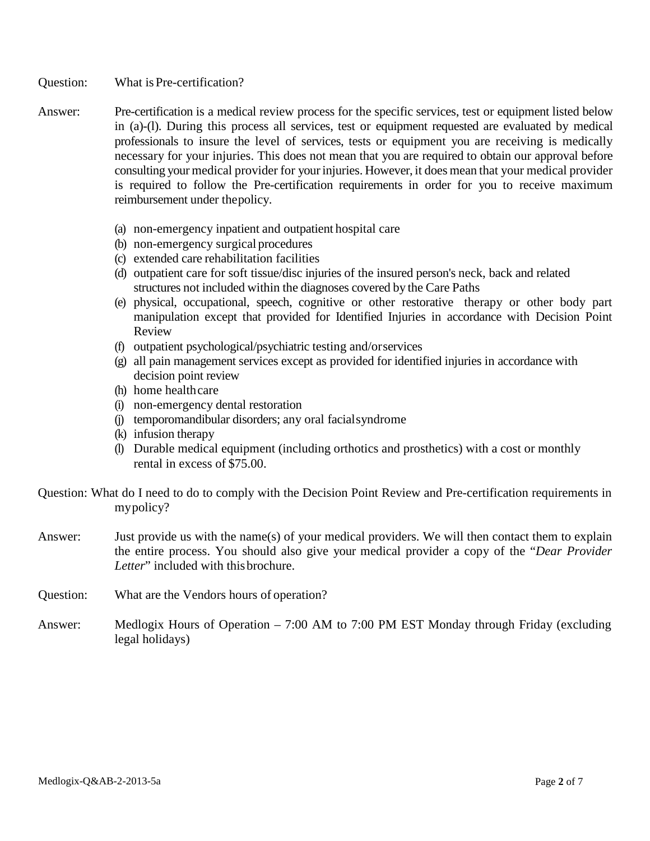Question: What is Pre-certification?

- Answer: Pre-certification is a medical review process for the specific services, test or equipment listed below in (a)-(l). During this process all services, test or equipment requested are evaluated by medical professionals to insure the level of services, tests or equipment you are receiving is medically necessary for your injuries. This does not mean that you are required to obtain our approval before consulting your medical provider for your injuries. However, it does mean that your medical provider is required to follow the Pre-certification requirements in order for you to receive maximum reimbursement under thepolicy.
	- (a) non-emergency inpatient and outpatient hospital care
	- (b) non-emergency surgical procedures
	- (c) extended care rehabilitation facilities
	- (d) outpatient care for soft tissue/disc injuries of the insured person's neck, back and related structures not included within the diagnoses covered by the Care Paths
	- (e) physical, occupational, speech, cognitive or other restorative therapy or other body part manipulation except that provided for Identified Injuries in accordance with Decision Point Review
	- (f) outpatient psychological/psychiatric testing and/orservices
	- (g) all pain management services except as provided for identified injuries in accordance with decision point review
	- (h) home healthcare
	- (i) non-emergency dental restoration
	- (j) temporomandibular disorders; any oral facialsyndrome
	- (k) infusion therapy
	- (l) Durable medical equipment (including orthotics and prosthetics) with a cost or monthly rental in excess of \$75.00.
- Question: What do I need to do to comply with the Decision Point Review and Pre-certification requirements in mypolicy?
- Answer: Just provide us with the name(s) of your medical providers. We will then contact them to explain the entire process. You should also give your medical provider a copy of the "*Dear Provider*  Letter" included with this brochure.
- Question: What are the Vendors hours of operation?
- Answer: Medlogix Hours of Operation 7:00 AM to 7:00 PM EST Monday through Friday (excluding legal holidays)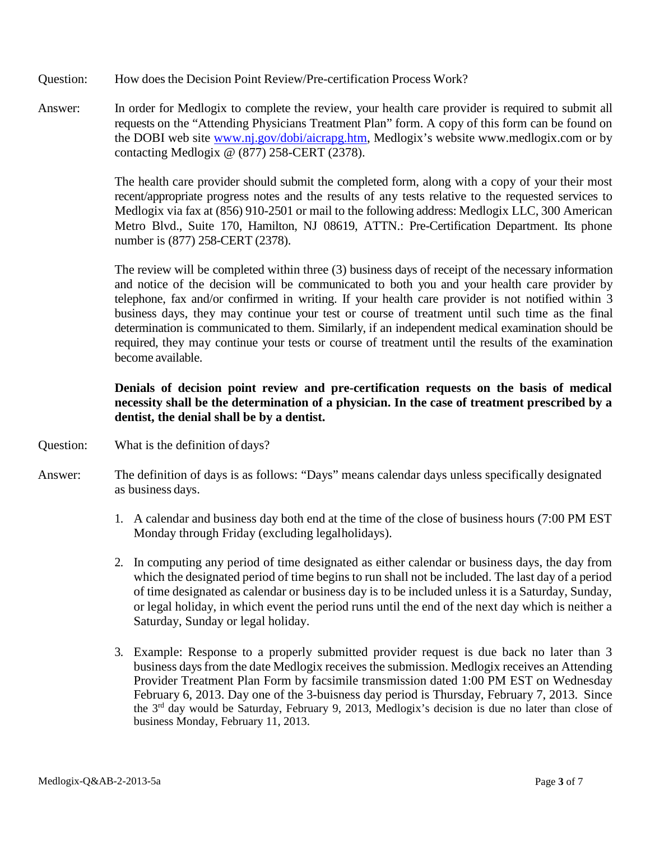- Question: How does the Decision Point Review/Pre-certification Process Work?
- Answer: In order for Medlogix to complete the review, your health care provider is required to submit all requests on the "Attending Physicians Treatment Plan" form. A copy of this form can be found on the DOBI web site [www.nj.gov/dobi/aicrapg.htm, M](http://www.nj.gov/dobi/aicrapg.htm)edlogix's website www.medlogix.com or by contacting Medlogix @ (877) 258-CERT (2378).

The health care provider should submit the completed form, along with a copy of your their most recent/appropriate progress notes and the results of any tests relative to the requested services to Medlogix via fax at (856) 910-2501 or mail to the following address: Medlogix LLC, 300 American Metro Blvd., Suite 170, Hamilton, NJ 08619, ATTN.: Pre-Certification Department. Its phone number is (877) 258-CERT (2378).

The review will be completed within three (3) business days of receipt of the necessary information and notice of the decision will be communicated to both you and your health care provider by telephone, fax and/or confirmed in writing. If your health care provider is not notified within 3 business days, they may continue your test or course of treatment until such time as the final determination is communicated to them. Similarly, if an independent medical examination should be required, they may continue your tests or course of treatment until the results of the examination become available.

# **Denials of decision point review and pre-certification requests on the basis of medical necessity shall be the determination of a physician. In the case of treatment prescribed by a dentist, the denial shall be by a dentist.**

- Question: What is the definition of days?
- Answer: The definition of days is as follows: "Days" means calendar days unless specifically designated as business days.
	- 1. A calendar and business day both end at the time of the close of business hours (7:00 PM EST Monday through Friday (excluding legalholidays).
	- 2. In computing any period of time designated as either calendar or business days, the day from which the designated period of time begins to run shall not be included. The last day of a period of time designated as calendar or business day is to be included unless it is a Saturday, Sunday, or legal holiday, in which event the period runs until the end of the next day which is neither a Saturday, Sunday or legal holiday.
	- 3. Example: Response to a properly submitted provider request is due back no later than 3 business days from the date Medlogix receives the submission. Medlogix receives an Attending Provider Treatment Plan Form by facsimile transmission dated 1:00 PM EST on Wednesday February 6, 2013. Day one of the 3-buisness day period is Thursday, February 7, 2013. Since the 3rd day would be Saturday, February 9, 2013, Medlogix's decision is due no later than close of business Monday, February 11, 2013.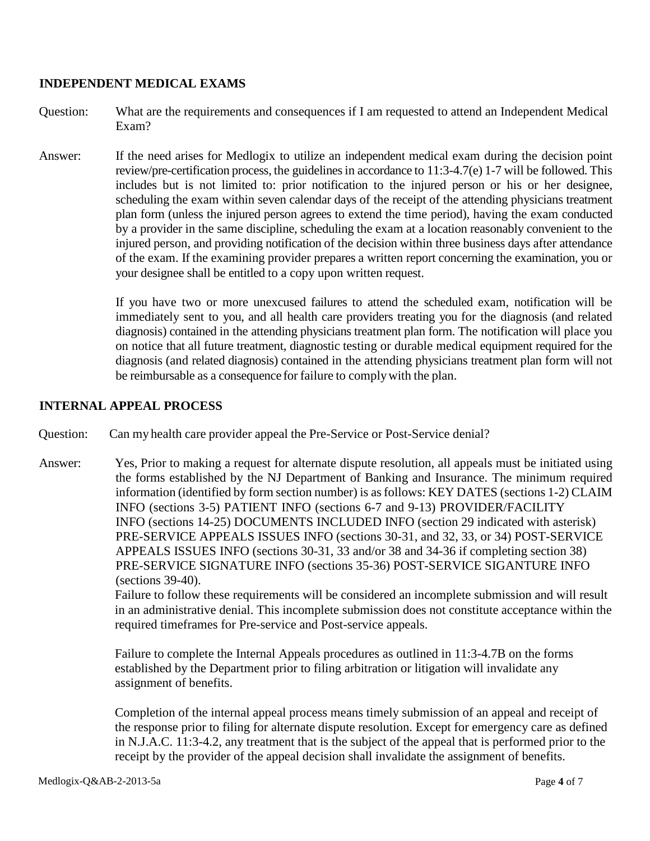#### **INDEPENDENT MEDICAL EXAMS**

- Question: What are the requirements and consequences if I am requested to attend an Independent Medical Exam?
- Answer: If the need arises for Medlogix to utilize an independent medical exam during the decision point review/pre-certification process, the guidelines in accordance to 11:3-4.7(e) 1-7 will be followed. This includes but is not limited to: prior notification to the injured person or his or her designee, scheduling the exam within seven calendar days of the receipt of the attending physicians treatment plan form (unless the injured person agrees to extend the time period), having the exam conducted by a provider in the same discipline, scheduling the exam at a location reasonably convenient to the injured person, and providing notification of the decision within three business days after attendance of the exam. If the examining provider prepares a written report concerning the examination, you or your designee shall be entitled to a copy upon written request.

If you have two or more unexcused failures to attend the scheduled exam, notification will be immediately sent to you, and all health care providers treating you for the diagnosis (and related diagnosis) contained in the attending physicians treatment plan form. The notification will place you on notice that all future treatment, diagnostic testing or durable medical equipment required for the diagnosis (and related diagnosis) contained in the attending physicians treatment plan form will not be reimbursable as a consequence for failure to complywith the plan.

## **INTERNAL APPEAL PROCESS**

Question: Can my health care provider appeal the Pre-Service or Post-Service denial?

Answer: Yes, Prior to making a request for alternate dispute resolution, all appeals must be initiated using the forms established by the NJ Department of Banking and Insurance. The minimum required information (identified by form section number) is as follows: KEY DATES (sections 1-2) CLAIM INFO (sections 3-5) PATIENT INFO (sections 6-7 and 9-13) PROVIDER/FACILITY INFO (sections 14-25) DOCUMENTS INCLUDED INFO (section 29 indicated with asterisk) PRE-SERVICE APPEALS ISSUES INFO (sections 30-31, and 32, 33, or 34) POST-SERVICE APPEALS ISSUES INFO (sections 30-31, 33 and/or 38 and 34-36 if completing section 38) PRE-SERVICE SIGNATURE INFO (sections 35-36) POST-SERVICE SIGANTURE INFO (sections 39-40).

> Failure to follow these requirements will be considered an incomplete submission and will result in an administrative denial. This incomplete submission does not constitute acceptance within the required timeframes for Pre-service and Post-service appeals.

Failure to complete the Internal Appeals procedures as outlined in 11:3-4.7B on the forms established by the Department prior to filing arbitration or litigation will invalidate any assignment of benefits.

Completion of the internal appeal process means timely submission of an appeal and receipt of the response prior to filing for alternate dispute resolution. Except for emergency care as defined in N.J.A.C. 11:3-4.2, any treatment that is the subject of the appeal that is performed prior to the receipt by the provider of the appeal decision shall invalidate the assignment of benefits.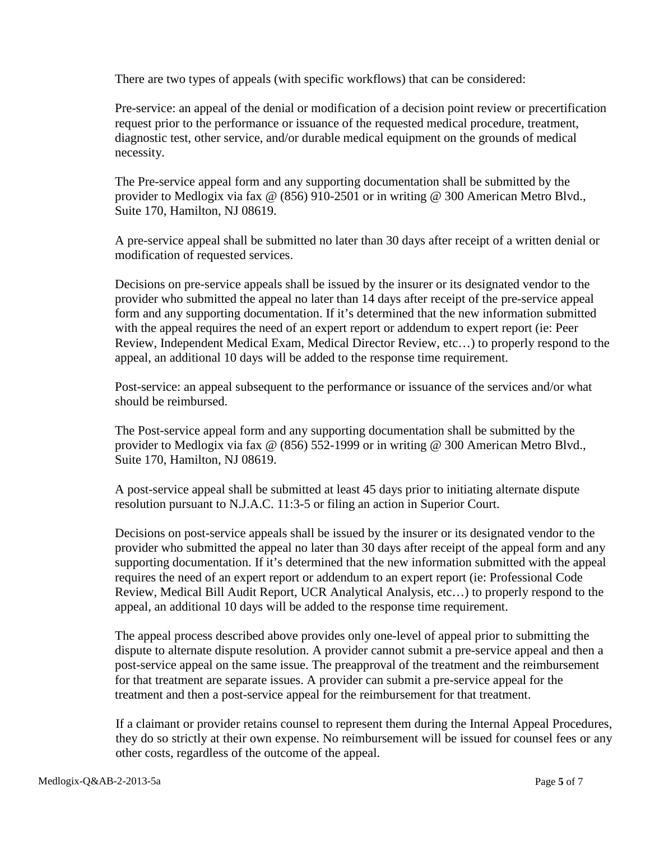There are two types of appeals (with specific workflows) that can be considered:

Pre-service: an appeal of the denial or modification of a decision point review or precertification request prior to the performance or issuance of the requested medical procedure, treatment, diagnostic test, other service, and/or durable medical equipment on the grounds of medical necessity.

The Pre-service appeal form and any supporting documentation shall be submitted by the provider to Medlogix via fax @ (856) 910-2501 or in writing @ 300 American Metro Blvd., Suite 170, Hamilton, NJ 08619.

A pre-service appeal shall be submitted no later than 30 days after receipt of a written denial or modification of requested services.

Decisions on pre-service appeals shall be issued by the insurer or its designated vendor to the provider who submitted the appeal no later than 14 days after receipt of the pre-service appeal form and any supporting documentation. If it's determined that the new information submitted with the appeal requires the need of an expert report or addendum to expert report (ie: Peer Review, Independent Medical Exam, Medical Director Review, etc…) to properly respond to the appeal, an additional 10 days will be added to the response time requirement.

Post-service: an appeal subsequent to the performance or issuance of the services and/or what should be reimbursed.

The Post-service appeal form and any supporting documentation shall be submitted by the provider to Medlogix via fax @ (856) 552-1999 or in writing @ 300 American Metro Blvd., Suite 170, Hamilton, NJ 08619.

A post-service appeal shall be submitted at least 45 days prior to initiating alternate dispute resolution pursuant to N.J.A.C. 11:3-5 or filing an action in Superior Court.

Decisions on post-service appeals shall be issued by the insurer or its designated vendor to the provider who submitted the appeal no later than 30 days after receipt of the appeal form and any supporting documentation. If it's determined that the new information submitted with the appeal requires the need of an expert report or addendum to an expert report (ie: Professional Code Review, Medical Bill Audit Report, UCR Analytical Analysis, etc…) to properly respond to the appeal, an additional 10 days will be added to the response time requirement.

The appeal process described above provides only one-level of appeal prior to submitting the dispute to alternate dispute resolution. A provider cannot submit a pre-service appeal and then a post-service appeal on the same issue. The preapproval of the treatment and the reimbursement for that treatment are separate issues. A provider can submit a pre-service appeal for the treatment and then a post-service appeal for the reimbursement for that treatment.

If a claimant or provider retains counsel to represent them during the Internal Appeal Procedures, they do so strictly at their own expense. No reimbursement will be issued for counsel fees or any other costs, regardless of the outcome of the appeal.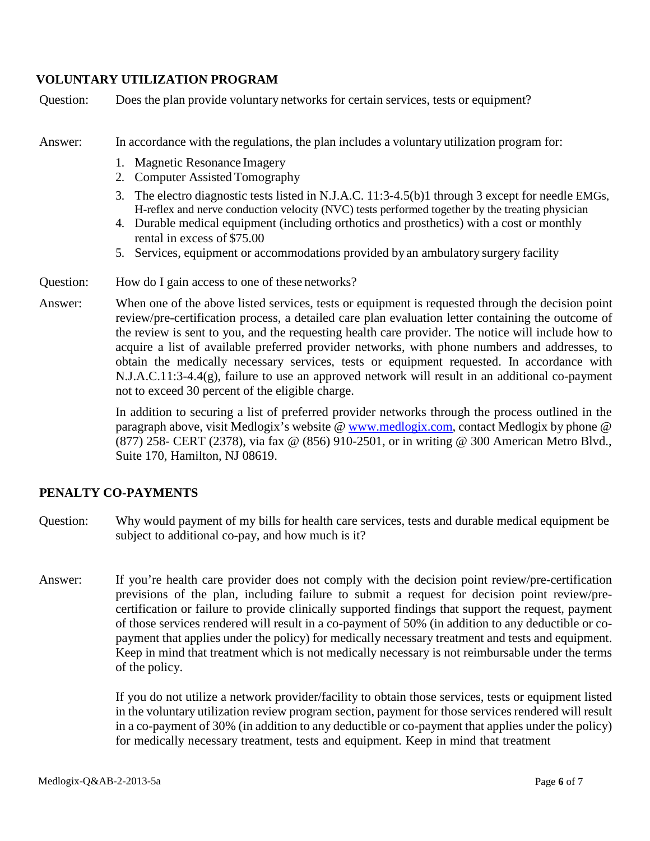## **VOLUNTARY UTILIZATION PROGRAM**

Question: Does the plan provide voluntary networks for certain services, tests or equipment?

Answer: In accordance with the regulations, the plan includes a voluntary utilization program for:

- 1. Magnetic Resonance Imagery
- 2. Computer Assisted Tomography
- 3. The electro diagnostic tests listed in N.J.A.C. 11:3-4.5(b)1 through 3 except for needle EMGs, H-reflex and nerve conduction velocity (NVC) tests performed together by the treating physician
- 4. Durable medical equipment (including orthotics and prosthetics) with a cost or monthly rental in excess of \$75.00
- 5. Services, equipment or accommodations provided by an ambulatory surgery facility

#### Question: How do I gain access to one of these networks?

Answer: When one of the above listed services, tests or equipment is requested through the decision point review/pre-certification process, a detailed care plan evaluation letter containing the outcome of the review is sent to you, and the requesting health care provider. The notice will include how to acquire a list of available preferred provider networks, with phone numbers and addresses, to obtain the medically necessary services, tests or equipment requested. In accordance with N.J.A.C.11:3-4.4(g), failure to use an approved network will result in an additional co-payment not to exceed 30 percent of the eligible charge.

> In addition to securing a list of preferred provider networks through the process outlined in the paragraph above, visit Medlogix's website @ www.medlogix.com, contact Medlogix by phone @ (877) 258- CERT (2378), via fax @ (856) 910-2501, or in writing @ 300 American Metro Blvd., Suite 170, Hamilton, NJ 08619.

## **PENALTY CO-PAYMENTS**

- Question: Why would payment of my bills for health care services, tests and durable medical equipment be subject to additional co-pay, and how much is it?
- Answer: If you're health care provider does not comply with the decision point review/pre-certification previsions of the plan, including failure to submit a request for decision point review/precertification or failure to provide clinically supported findings that support the request, payment of those services rendered will result in a co-payment of 50% (in addition to any deductible or copayment that applies under the policy) for medically necessary treatment and tests and equipment. Keep in mind that treatment which is not medically necessary is not reimbursable under the terms of the policy.

If you do not utilize a network provider/facility to obtain those services, tests or equipment listed in the voluntary utilization review program section, payment for those services rendered will result in a co-payment of 30% (in addition to any deductible or co-payment that applies under the policy) for medically necessary treatment, tests and equipment. Keep in mind that treatment